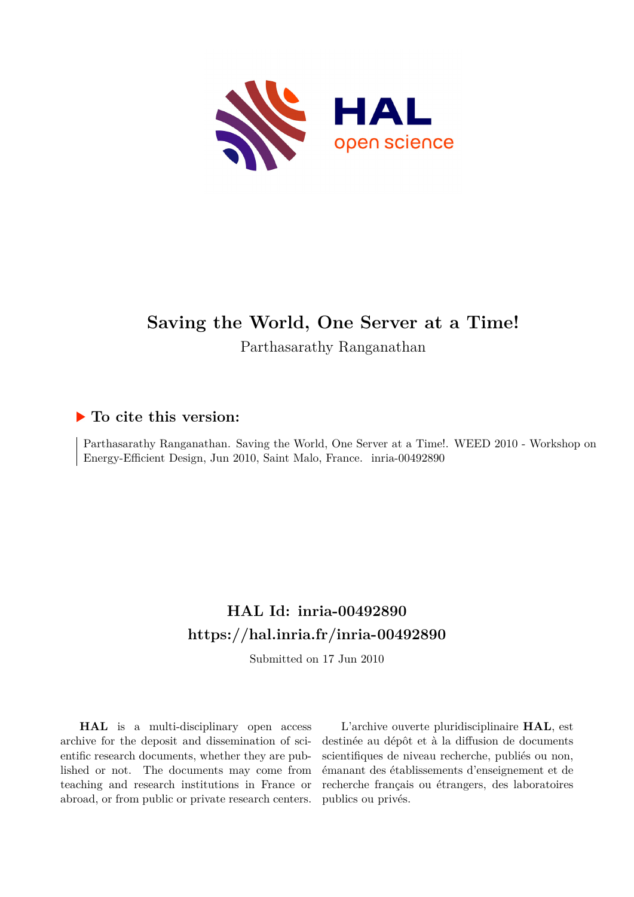

## **Saving the World, One Server at a Time!**

Parthasarathy Ranganathan

## **To cite this version:**

Parthasarathy Ranganathan. Saving the World, One Server at a Time!. WEED 2010 - Workshop on Energy-Efficient Design, Jun 2010, Saint Malo, France. inria-00492890

## **HAL Id: inria-00492890 <https://hal.inria.fr/inria-00492890>**

Submitted on 17 Jun 2010

**HAL** is a multi-disciplinary open access archive for the deposit and dissemination of scientific research documents, whether they are published or not. The documents may come from teaching and research institutions in France or abroad, or from public or private research centers.

L'archive ouverte pluridisciplinaire **HAL**, est destinée au dépôt et à la diffusion de documents scientifiques de niveau recherche, publiés ou non, émanant des établissements d'enseignement et de recherche français ou étrangers, des laboratoires publics ou privés.